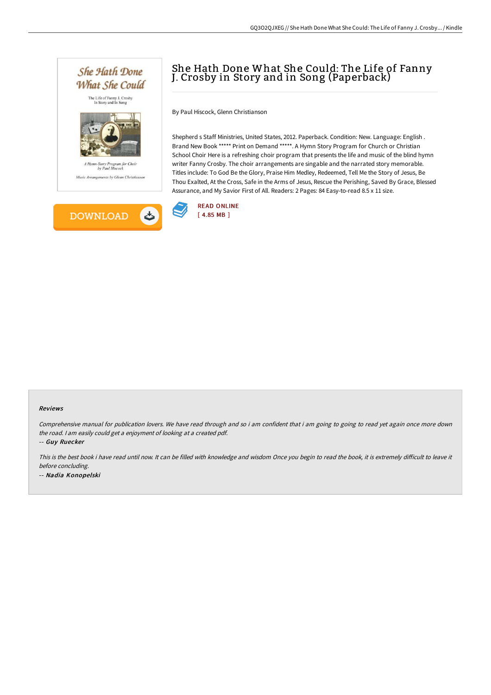

## She Hath Done What She Could: The Life of Fanny J. Crosby in Story and in Song (Paperback)

By Paul Hiscock, Glenn Christianson

Shepherd s Staff Ministries, United States, 2012. Paperback. Condition: New. Language: English . Brand New Book \*\*\*\*\* Print on Demand \*\*\*\*\*. A Hymn Story Program for Church or Christian School Choir Here is a refreshing choir program that presents the life and music of the blind hymn writer Fanny Crosby. The choir arrangements are singable and the narrated story memorable. Titles include: To God Be the Glory, Praise Him Medley, Redeemed, Tell Me the Story of Jesus, Be Thou Exalted, At the Cross, Safe in the Arms of Jesus, Rescue the Perishing, Saved By Grace, Blessed Assurance, and My Savior First of All. Readers: 2 Pages: 84 Easy-to-read 8.5 x 11 size.



#### Reviews

Comprehensive manual for publication lovers. We have read through and so i am confident that i am going to going to read yet again once more down the road. <sup>I</sup> am easily could get <sup>a</sup> enjoyment of looking at <sup>a</sup> created pdf.

-- Guy Ruecker

This is the best book i have read until now. It can be filled with knowledge and wisdom Once you begin to read the book, it is extremely difficult to leave it before concluding. -- Nadia Konopelski